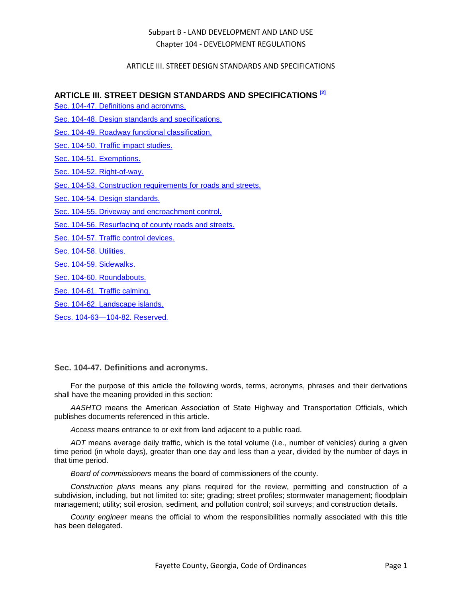## ARTICLE III. STREET DESIGN STANDARDS AND SPECIFICATIONS

## **ARTICLE III. STREET DESIGN STANDARDS AND SPECIFICATIONS [2]**

- [Sec. 104-47. Definitions and acronyms.](#page-0-0)
- [Sec. 104-48. Design standards and specifications.](#page-2-0)
- [Sec. 104-49. Roadway functional classification.](#page-3-0)
- [Sec. 104-50. Traffic impact studies.](#page-3-1)
- [Sec. 104-51. Exemptions.](#page-4-0)
- [Sec. 104-52. Right-of-way.](#page-4-1)
- [Sec. 104-53. Construction requirements for roads and streets.](#page-6-0)
- [Sec. 104-54. Design standards.](#page-9-0)
- [Sec. 104-55. Driveway and encroachment control.](#page-11-0)
- [Sec. 104-56. Resurfacing of county roads and streets.](#page-14-0)
- [Sec. 104-57. Traffic control devices.](#page-15-0)
- [Sec. 104-58. Utilities.](#page-16-0)
- [Sec. 104-59. Sidewalks.](#page-17-0)
- [Sec. 104-60. Roundabouts.](#page-18-0)
- [Sec. 104-61. Traffic calming.](#page-18-1)
- [Sec. 104-62. Landscape islands.](#page-18-2)

[Secs. 104-63—104-82. Reserved.](#page-19-0)

### <span id="page-0-0"></span>**Sec. 104-47. Definitions and acronyms.**

For the purpose of this article the following words, terms, acronyms, phrases and their derivations shall have the meaning provided in this section:

*AASHTO* means the American Association of State Highway and Transportation Officials, which publishes documents referenced in this article.

*Access* means entrance to or exit from land adjacent to a public road.

*ADT* means average daily traffic, which is the total volume (i.e., number of vehicles) during a given time period (in whole days), greater than one day and less than a year, divided by the number of days in that time period.

*Board of commissioners* means the board of commissioners of the county.

*Construction plans* means any plans required for the review, permitting and construction of a subdivision, including, but not limited to: site; grading; street profiles; stormwater management; floodplain management; utility; soil erosion, sediment, and pollution control; soil surveys; and construction details.

*County engineer* means the official to whom the responsibilities normally associated with this title has been delegated.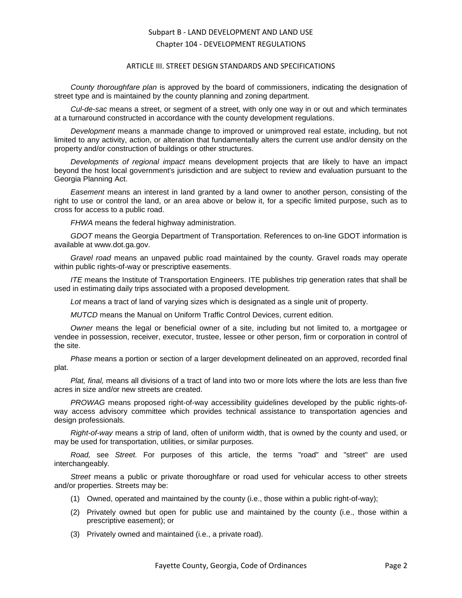#### ARTICLE III. STREET DESIGN STANDARDS AND SPECIFICATIONS

*County thoroughfare plan* is approved by the board of commissioners, indicating the designation of street type and is maintained by the county planning and zoning department.

*Cul-de-sac* means a street, or segment of a street, with only one way in or out and which terminates at a turnaround constructed in accordance with the county development regulations.

*Development* means a manmade change to improved or unimproved real estate, including, but not limited to any activity, action, or alteration that fundamentally alters the current use and/or density on the property and/or construction of buildings or other structures.

*Developments of regional impact* means development projects that are likely to have an impact beyond the host local government's jurisdiction and are subject to review and evaluation pursuant to the Georgia Planning Act.

*Easement* means an interest in land granted by a land owner to another person, consisting of the right to use or control the land, or an area above or below it, for a specific limited purpose, such as to cross for access to a public road.

*FHWA* means the federal highway administration.

*GDOT* means the Georgia Department of Transportation. References to on-line GDOT information is available at www.dot.ga.gov.

*Gravel road* means an unpaved public road maintained by the county. Gravel roads may operate within public rights-of-way or prescriptive easements.

*ITE* means the Institute of Transportation Engineers. ITE publishes trip generation rates that shall be used in estimating daily trips associated with a proposed development.

*Lot* means a tract of land of varying sizes which is designated as a single unit of property.

*MUTCD* means the Manual on Uniform Traffic Control Devices, current edition.

*Owner* means the legal or beneficial owner of a site, including but not limited to, a mortgagee or vendee in possession, receiver, executor, trustee, lessee or other person, firm or corporation in control of the site.

*Phase* means a portion or section of a larger development delineated on an approved, recorded final plat.

*Plat, final,* means all divisions of a tract of land into two or more lots where the lots are less than five acres in size and/or new streets are created.

*PROWAG* means proposed right-of-way accessibility guidelines developed by the public rights-ofway access advisory committee which provides technical assistance to transportation agencies and design professionals.

*Right-of-way* means a strip of land, often of uniform width, that is owned by the county and used, or may be used for transportation, utilities, or similar purposes.

*Road,* see *Street.* For purposes of this article, the terms "road" and "street" are used interchangeably.

*Street* means a public or private thoroughfare or road used for vehicular access to other streets and/or properties. Streets may be:

- (1) Owned, operated and maintained by the county (i.e., those within a public right-of-way);
- (2) Privately owned but open for public use and maintained by the county (i.e., those within a prescriptive easement); or
- (3) Privately owned and maintained (i.e., a private road).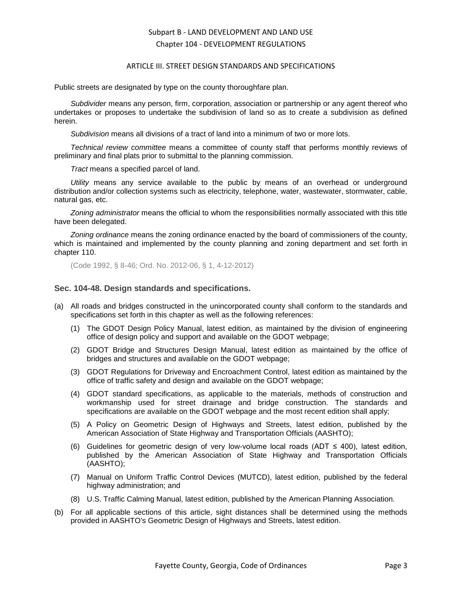#### ARTICLE III. STREET DESIGN STANDARDS AND SPECIFICATIONS

Public streets are designated by type on the county thoroughfare plan.

*Subdivider* means any person, firm, corporation, association or partnership or any agent thereof who undertakes or proposes to undertake the subdivision of land so as to create a subdivision as defined herein.

*Subdivision* means all divisions of a tract of land into a minimum of two or more lots.

*Technical review committee* means a committee of county staff that performs monthly reviews of preliminary and final plats prior to submittal to the planning commission.

*Tract* means a specified parcel of land.

*Utility* means any service available to the public by means of an overhead or underground distribution and/or collection systems such as electricity, telephone, water, wastewater, stormwater, cable, natural gas, etc.

*Zoning administrator* means the official to whom the responsibilities normally associated with this title have been delegated.

*Zoning ordinance* means the zoning ordinance enacted by the board of commissioners of the county, which is maintained and implemented by the county planning and zoning department and set forth in chapter 110.

(Code 1992, § 8-46; Ord. No. 2012-06, § 1, 4-12-2012)

## <span id="page-2-0"></span>**Sec. 104-48. Design standards and specifications.**

- (a) All roads and bridges constructed in the unincorporated county shall conform to the standards and specifications set forth in this chapter as well as the following references:
	- (1) The GDOT Design Policy Manual, latest edition, as maintained by the division of engineering office of design policy and support and available on the GDOT webpage;
	- (2) GDOT Bridge and Structures Design Manual, latest edition as maintained by the office of bridges and structures and available on the GDOT webpage;
	- (3) GDOT Regulations for Driveway and Encroachment Control, latest edition as maintained by the office of traffic safety and design and available on the GDOT webpage;
	- (4) GDOT standard specifications, as applicable to the materials, methods of construction and workmanship used for street drainage and bridge construction. The standards and specifications are available on the GDOT webpage and the most recent edition shall apply;
	- (5) A Policy on Geometric Design of Highways and Streets, latest edition, published by the American Association of State Highway and Transportation Officials (AASHTO);
	- (6) Guidelines for geometric design of very low-volume local roads (ADT ≤ 400), latest edition, published by the American Association of State Highway and Transportation Officials (AASHTO);
	- (7) Manual on Uniform Traffic Control Devices (MUTCD), latest edition, published by the federal highway administration; and
	- (8) U.S. Traffic Calming Manual, latest edition, published by the American Planning Association.
- (b) For all applicable sections of this article, sight distances shall be determined using the methods provided in AASHTO's Geometric Design of Highways and Streets, latest edition.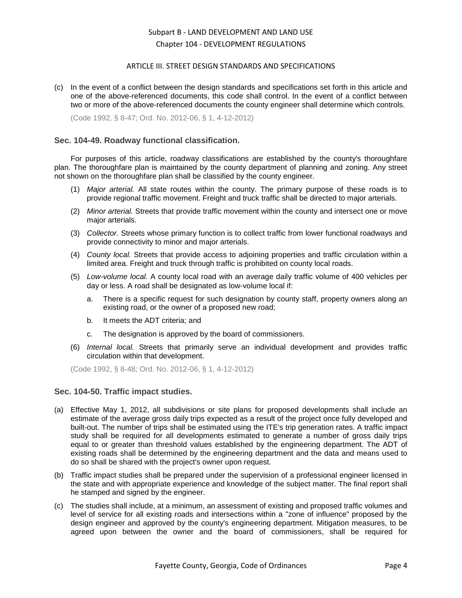### ARTICLE III. STREET DESIGN STANDARDS AND SPECIFICATIONS

(c) In the event of a conflict between the design standards and specifications set forth in this article and one of the above-referenced documents, this code shall control. In the event of a conflict between two or more of the above-referenced documents the county engineer shall determine which controls.

(Code 1992, § 8-47; Ord. No. 2012-06, § 1, 4-12-2012)

### <span id="page-3-0"></span>**Sec. 104-49. Roadway functional classification.**

For purposes of this article, roadway classifications are established by the county's thoroughfare plan. The thoroughfare plan is maintained by the county department of planning and zoning. Any street not shown on the thoroughfare plan shall be classified by the county engineer.

- (1) *Major arterial.* All state routes within the county. The primary purpose of these roads is to provide regional traffic movement. Freight and truck traffic shall be directed to major arterials.
- (2) *Minor arterial.* Streets that provide traffic movement within the county and intersect one or move major arterials.
- (3) *Collector.* Streets whose primary function is to collect traffic from lower functional roadways and provide connectivity to minor and major arterials.
- (4) *County local.* Streets that provide access to adjoining properties and traffic circulation within a limited area. Freight and truck through traffic is prohibited on county local roads.
- (5) *Low-volume local.* A county local road with an average daily traffic volume of 400 vehicles per day or less. A road shall be designated as low-volume local if:
	- a. There is a specific request for such designation by county staff, property owners along an existing road, or the owner of a proposed new road;
	- b. It meets the ADT criteria; and
	- c. The designation is approved by the board of commissioners.
- (6) *Internal local.* Streets that primarily serve an individual development and provides traffic circulation within that development.

(Code 1992, § 8-48; Ord. No. 2012-06, § 1, 4-12-2012)

### <span id="page-3-1"></span>**Sec. 104-50. Traffic impact studies.**

- (a) Effective May 1, 2012, all subdivisions or site plans for proposed developments shall include an estimate of the average gross daily trips expected as a result of the project once fully developed and built-out. The number of trips shall be estimated using the ITE's trip generation rates. A traffic impact study shall be required for all developments estimated to generate a number of gross daily trips equal to or greater than threshold values established by the engineering department. The ADT of existing roads shall be determined by the engineering department and the data and means used to do so shall be shared with the project's owner upon request.
- (b) Traffic impact studies shall be prepared under the supervision of a professional engineer licensed in the state and with appropriate experience and knowledge of the subject matter. The final report shall he stamped and signed by the engineer.
- (c) The studies shall include, at a minimum, an assessment of existing and proposed traffic volumes and level of service for all existing roads and intersections within a "zone of influence" proposed by the design engineer and approved by the county's engineering department. Mitigation measures, to be agreed upon between the owner and the board of commissioners, shall be required for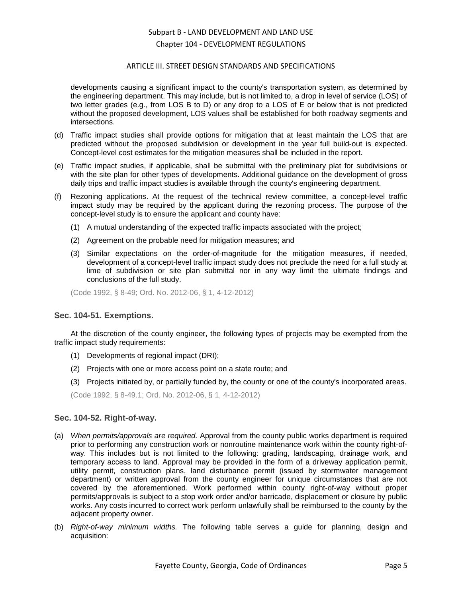### ARTICLE III. STREET DESIGN STANDARDS AND SPECIFICATIONS

developments causing a significant impact to the county's transportation system, as determined by the engineering department. This may include, but is not limited to, a drop in level of service (LOS) of two letter grades (e.g., from LOS B to D) or any drop to a LOS of E or below that is not predicted without the proposed development, LOS values shall be established for both roadway segments and intersections.

- (d) Traffic impact studies shall provide options for mitigation that at least maintain the LOS that are predicted without the proposed subdivision or development in the year full build-out is expected. Concept-level cost estimates for the mitigation measures shall be included in the report.
- (e) Traffic impact studies, if applicable, shall be submittal with the preliminary plat for subdivisions or with the site plan for other types of developments. Additional guidance on the development of gross daily trips and traffic impact studies is available through the county's engineering department.
- (f) Rezoning applications. At the request of the technical review committee, a concept-level traffic impact study may be required by the applicant during the rezoning process. The purpose of the concept-level study is to ensure the applicant and county have:
	- (1) A mutual understanding of the expected traffic impacts associated with the project;
	- (2) Agreement on the probable need for mitigation measures; and
	- (3) Similar expectations on the order-of-magnitude for the mitigation measures, if needed, development of a concept-level traffic impact study does not preclude the need for a full study at lime of subdivision or site plan submittal nor in any way limit the ultimate findings and conclusions of the full study.

(Code 1992, § 8-49; Ord. No. 2012-06, § 1, 4-12-2012)

### <span id="page-4-0"></span>**Sec. 104-51. Exemptions.**

At the discretion of the county engineer, the following types of projects may be exempted from the traffic impact study requirements:

- (1) Developments of regional impact (DRI);
- (2) Projects with one or more access point on a state route; and
- (3) Projects initiated by, or partially funded by, the county or one of the county's incorporated areas.

(Code 1992, § 8-49.1; Ord. No. 2012-06, § 1, 4-12-2012)

### <span id="page-4-1"></span>**Sec. 104-52. Right-of-way.**

- (a) *When permits/approvals are required.* Approval from the county public works department is required prior to performing any construction work or nonroutine maintenance work within the county right-ofway. This includes but is not limited to the following: grading, landscaping, drainage work, and temporary access to land. Approval may be provided in the form of a driveway application permit, utility permit, construction plans, land disturbance permit (issued by stormwater management department) or written approval from the county engineer for unique circumstances that are not covered by the aforementioned. Work performed within county right-of-way without proper permits/approvals is subject to a stop work order and/or barricade, displacement or closure by public works. Any costs incurred to correct work perform unlawfully shall be reimbursed to the county by the adjacent property owner.
- (b) *Right-of-way minimum widths.* The following table serves a guide for planning, design and acquisition: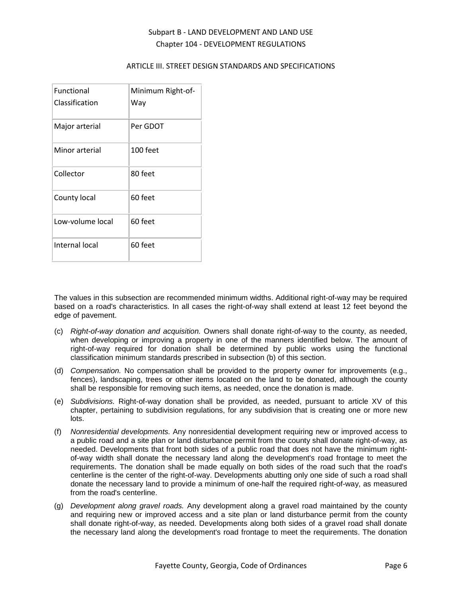## ARTICLE III. STREET DESIGN STANDARDS AND SPECIFICATIONS

| <b>Functional</b><br>Classification | Minimum Right-of-<br>Way |
|-------------------------------------|--------------------------|
| Major arterial                      | Per GDOT                 |
| Minor arterial                      | 100 feet                 |
| Collector                           | 80 feet                  |
| County local                        | 60 feet                  |
| Low-volume local                    | 60 feet                  |
| Internal local                      | 60 feet                  |

The values in this subsection are recommended minimum widths. Additional right-of-way may be required based on a road's characteristics. In all cases the right-of-way shall extend at least 12 feet beyond the edge of pavement.

- (c) *Right-of-way donation and acquisition.* Owners shall donate right-of-way to the county, as needed, when developing or improving a property in one of the manners identified below. The amount of right-of-way required for donation shall be determined by public works using the functional classification minimum standards prescribed in subsection (b) of this section.
- (d) *Compensation.* No compensation shall be provided to the property owner for improvements (e.g., fences), landscaping, trees or other items located on the land to be donated, although the county shall be responsible for removing such items, as needed, once the donation is made.
- (e) *Subdivisions.* Right-of-way donation shall be provided, as needed, pursuant to article XV of this chapter, pertaining to subdivision regulations, for any subdivision that is creating one or more new lots.
- (f) *Nonresidential developments.* Any nonresidential development requiring new or improved access to a public road and a site plan or land disturbance permit from the county shall donate right-of-way, as needed. Developments that front both sides of a public road that does not have the minimum rightof-way width shall donate the necessary land along the development's road frontage to meet the requirements. The donation shall be made equally on both sides of the road such that the road's centerline is the center of the right-of-way. Developments abutting only one side of such a road shall donate the necessary land to provide a minimum of one-half the required right-of-way, as measured from the road's centerline.
- (g) *Development along gravel roads.* Any development along a gravel road maintained by the county and requiring new or improved access and a site plan or land disturbance permit from the county shall donate right-of-way, as needed. Developments along both sides of a gravel road shall donate the necessary land along the development's road frontage to meet the requirements. The donation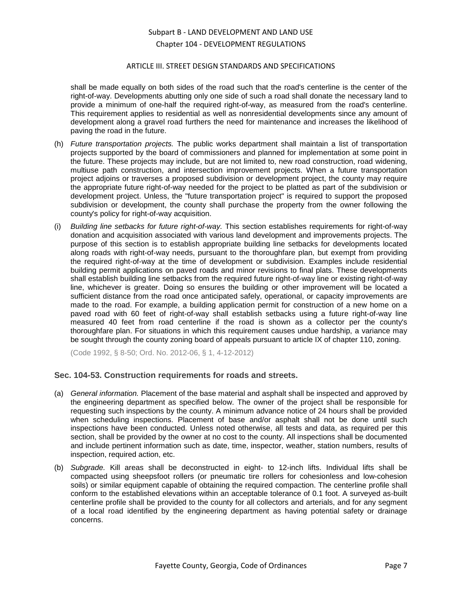### ARTICLE III. STREET DESIGN STANDARDS AND SPECIFICATIONS

shall be made equally on both sides of the road such that the road's centerline is the center of the right-of-way. Developments abutting only one side of such a road shall donate the necessary land to provide a minimum of one-half the required right-of-way, as measured from the road's centerline. This requirement applies to residential as well as nonresidential developments since any amount of development along a gravel road furthers the need for maintenance and increases the likelihood of paving the road in the future.

- (h) *Future transportation projects.* The public works department shall maintain a list of transportation projects supported by the board of commissioners and planned for implementation at some point in the future. These projects may include, but are not limited to, new road construction, road widening, multiuse path construction, and intersection improvement projects. When a future transportation project adjoins or traverses a proposed subdivision or development project, the county may require the appropriate future right-of-way needed for the project to be platted as part of the subdivision or development project. Unless, the "future transportation project" is required to support the proposed subdivision or development, the county shall purchase the property from the owner following the county's policy for right-of-way acquisition.
- (i) *Building line setbacks for future right-of-way.* This section establishes requirements for right-of-way donation and acquisition associated with various land development and improvements projects. The purpose of this section is to establish appropriate building line setbacks for developments located along roads with right-of-way needs, pursuant to the thoroughfare plan, but exempt from providing the required right-of-way at the time of development or subdivision. Examples include residential building permit applications on paved roads and minor revisions to final plats. These developments shall establish building line setbacks from the required future right-of-way line or existing right-of-way line, whichever is greater. Doing so ensures the building or other improvement will be located a sufficient distance from the road once anticipated safely, operational, or capacity improvements are made to the road. For example, a building application permit for construction of a new home on a paved road with 60 feet of right-of-way shall establish setbacks using a future right-of-way line measured 40 feet from road centerline if the road is shown as a collector per the county's thoroughfare plan. For situations in which this requirement causes undue hardship, a variance may be sought through the county zoning board of appeals pursuant to article IX of chapter 110, zoning.

(Code 1992, § 8-50; Ord. No. 2012-06, § 1, 4-12-2012)

## <span id="page-6-0"></span>**Sec. 104-53. Construction requirements for roads and streets.**

- (a) *General information.* Placement of the base material and asphalt shall be inspected and approved by the engineering department as specified below. The owner of the project shall be responsible for requesting such inspections by the county. A minimum advance notice of 24 hours shall be provided when scheduling inspections. Placement of base and/or asphalt shall not be done until such inspections have been conducted. Unless noted otherwise, all tests and data, as required per this section, shall be provided by the owner at no cost to the county. All inspections shall be documented and include pertinent information such as date, time, inspector, weather, station numbers, results of inspection, required action, etc.
- (b) *Subgrade.* Kill areas shall be deconstructed in eight- to 12-inch lifts. Individual lifts shall be compacted using sheepsfoot rollers (or pneumatic tire rollers for cohesionless and low-cohesion soils) or similar equipment capable of obtaining the required compaction. The centerline profile shall conform to the established elevations within an acceptable tolerance of 0.1 foot. A surveyed as-built centerline profile shall be provided to the county for all collectors and arterials, and for any segment of a local road identified by the engineering department as having potential safety or drainage concerns.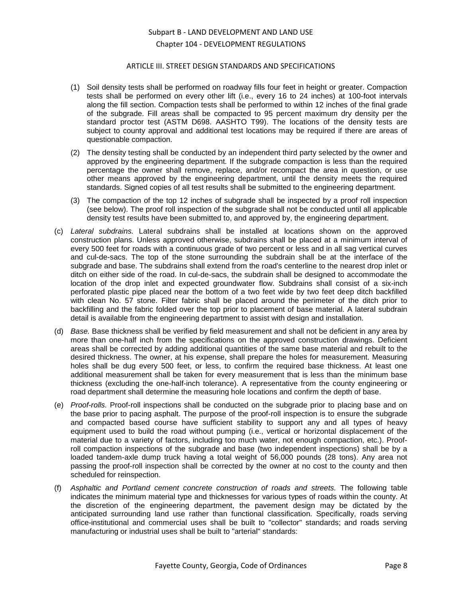### ARTICLE III. STREET DESIGN STANDARDS AND SPECIFICATIONS

- (1) Soil density tests shall be performed on roadway fills four feet in height or greater. Compaction tests shall be performed on every other lift (i.e., every 16 to 24 inches) at 100-foot intervals along the fill section. Compaction tests shall be performed to within 12 inches of the final grade of the subgrade. Fill areas shall be compacted to 95 percent maximum dry density per the standard proctor test (ASTM D698. AASHTO T99). The locations of the density tests are subject to county approval and additional test locations may be required if there are areas of questionable compaction.
- (2) The density testing shall be conducted by an independent third party selected by the owner and approved by the engineering department. If the subgrade compaction is less than the required percentage the owner shall remove, replace, and/or recompact the area in question, or use other means approved by the engineering department, until the density meets the required standards. Signed copies of all test results shall be submitted to the engineering department.
- (3) The compaction of the top 12 inches of subgrade shall be inspected by a proof roll inspection (see below). The proof roll inspection of the subgrade shall not be conducted until all applicable density test results have been submitted to, and approved by, the engineering department.
- (c) *Lateral subdrains.* Lateral subdrains shall be installed at locations shown on the approved construction plans. Unless approved otherwise, subdrains shall be placed at a minimum interval of every 500 feet for roads with a continuous grade of two percent or less and in all sag vertical curves and cul-de-sacs. The top of the stone surrounding the subdrain shall be at the interface of the subgrade and base. The subdrains shall extend from the road's centerline to the nearest drop inlet or ditch on either side of the road. In cul-de-sacs, the subdrain shall be designed to accommodate the location of the drop inlet and expected groundwater flow. Subdrains shall consist of a six-inch perforated plastic pipe placed near the bottom of a two feet wide by two feet deep ditch backfilled with clean No. 57 stone. Filter fabric shall be placed around the perimeter of the ditch prior to backfilling and the fabric folded over the top prior to placement of base material. A lateral subdrain detail is available from the engineering department to assist with design and installation.
- (d) *Base.* Base thickness shall be verified by field measurement and shall not be deficient in any area by more than one-half inch from the specifications on the approved construction drawings. Deficient areas shall be corrected by adding additional quantities of the same base material and rebuilt to the desired thickness. The owner, at his expense, shall prepare the holes for measurement. Measuring holes shall be dug every 500 feet, or less, to confirm the required base thickness. At least one additional measurement shall be taken for every measurement that is less than the minimum base thickness (excluding the one-half-inch tolerance). A representative from the county engineering or road department shall determine the measuring hole locations and confirm the depth of base.
- (e) *Proof-rolls.* Proof-roll inspections shall be conducted on the subgrade prior to placing base and on the base prior to pacing asphalt. The purpose of the proof-roll inspection is to ensure the subgrade and compacted based course have sufficient stability to support any and all types of heavy equipment used to build the road without pumping (i.e., vertical or horizontal displacement of the material due to a variety of factors, including too much water, not enough compaction, etc.). Proofroll compaction inspections of the subgrade and base (two independent inspections) shall be by a loaded tandem-axle dump truck having a total weight of 56,000 pounds (28 tons). Any area not passing the proof-roll inspection shall be corrected by the owner at no cost to the county and then scheduled for reinspection.
- (f) *Asphaltic and Portland cement concrete construction of roads and streets.* The following table indicates the minimum material type and thicknesses for various types of roads within the county. At the discretion of the engineering department, the pavement design may be dictated by the anticipated surrounding land use rather than functional classification. Specifically, roads serving office-institutional and commercial uses shall be built to "collector" standards; and roads serving manufacturing or industrial uses shall be built to "arterial" standards: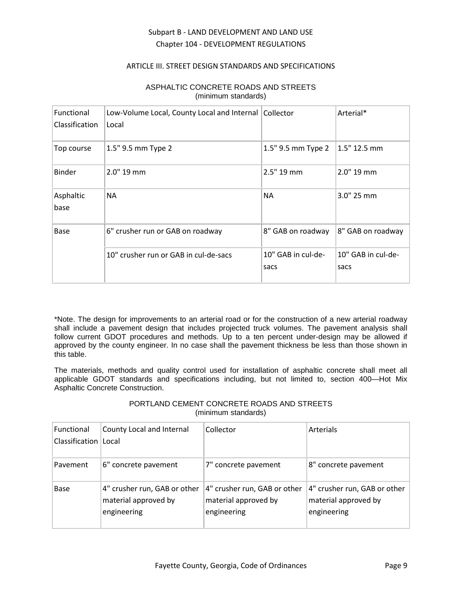## ARTICLE III. STREET DESIGN STANDARDS AND SPECIFICATIONS

| Functional<br>Classification | Low-Volume Local, County Local and Internal<br>Local | Collector                  | Arterial*                  |
|------------------------------|------------------------------------------------------|----------------------------|----------------------------|
| Top course                   | 1.5" 9.5 mm Type 2                                   | 1.5" 9.5 mm Type 2         | $1.5"$ 12.5 mm             |
| Binder                       | 2.0" 19 mm                                           | 2.5" 19 mm                 | 2.0" 19 mm                 |
| Asphaltic<br>base            | <b>NA</b>                                            | <b>NA</b>                  | 3.0" 25 mm                 |
| Base                         | 6" crusher run or GAB on roadway                     | 8" GAB on roadway          | 8" GAB on roadway          |
|                              | 10" crusher run or GAB in cul-de-sacs                | 10" GAB in cul-de-<br>sacs | 10" GAB in cul-de-<br>sacs |

## ASPHALTIC CONCRETE ROADS AND STREETS (minimum standards)

\*Note. The design for improvements to an arterial road or for the construction of a new arterial roadway shall include a pavement design that includes projected truck volumes. The pavement analysis shall follow current GDOT procedures and methods. Up to a ten percent under-design may be allowed if approved by the county engineer. In no case shall the pavement thickness be less than those shown in this table.

The materials, methods and quality control used for installation of asphaltic concrete shall meet all applicable GDOT standards and specifications including, but not limited to, section 400—Hot Mix Asphaltic Concrete Construction.

## PORTLAND CEMENT CONCRETE ROADS AND STREETS (minimum standards)

| <b>Functional</b>      | County Local and Internal                                           | Collector                                                           | Arterials                                                           |
|------------------------|---------------------------------------------------------------------|---------------------------------------------------------------------|---------------------------------------------------------------------|
| Classification   Local |                                                                     |                                                                     |                                                                     |
| Pavement               | 6" concrete pavement                                                | 7" concrete pavement                                                | 8" concrete pavement                                                |
| Base                   | 4" crusher run, GAB or other<br>material approved by<br>engineering | 4" crusher run, GAB or other<br>material approved by<br>engineering | 4" crusher run, GAB or other<br>material approved by<br>engineering |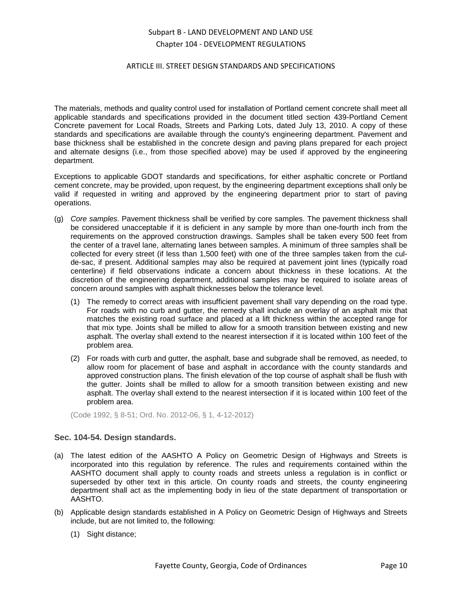### ARTICLE III. STREET DESIGN STANDARDS AND SPECIFICATIONS

The materials, methods and quality control used for installation of Portland cement concrete shall meet all applicable standards and specifications provided in the document titled section 439-Portland Cement Concrete pavement for Local Roads, Streets and Parking Lots, dated July 13, 2010. A copy of these standards and specifications are available through the county's engineering department. Pavement and base thickness shall be established in the concrete design and paving plans prepared for each project and alternate designs (i.e., from those specified above) may be used if approved by the engineering department.

Exceptions to applicable GDOT standards and specifications, for either asphaltic concrete or Portland cement concrete, may be provided, upon request, by the engineering department exceptions shall only be valid if requested in writing and approved by the engineering department prior to start of paving operations.

- (g) *Core samples.* Pavement thickness shall be verified by core samples. The pavement thickness shall be considered unacceptable if it is deficient in any sample by more than one-fourth inch from the requirements on the approved construction drawings. Samples shall be taken every 500 feet from the center of a travel lane, alternating lanes between samples. A minimum of three samples shall be collected for every street (if less than 1,500 feet) with one of the three samples taken from the culde-sac, if present. Additional samples may also be required at pavement joint lines (typically road centerline) if field observations indicate a concern about thickness in these locations. At the discretion of the engineering department, additional samples may be required to isolate areas of concern around samples with asphalt thicknesses below the tolerance level.
	- (1) The remedy to correct areas with insufficient pavement shall vary depending on the road type. For roads with no curb and gutter, the remedy shall include an overlay of an asphalt mix that matches the existing road surface and placed at a lift thickness within the accepted range for that mix type. Joints shall be milled to allow for a smooth transition between existing and new asphalt. The overlay shall extend to the nearest intersection if it is located within 100 feet of the problem area.
	- (2) For roads with curb and gutter, the asphalt, base and subgrade shall be removed, as needed, to allow room for placement of base and asphalt in accordance with the county standards and approved construction plans. The finish elevation of the top course of asphalt shall be flush with the gutter. Joints shall be milled to allow for a smooth transition between existing and new asphalt. The overlay shall extend to the nearest intersection if it is located within 100 feet of the problem area.

(Code 1992, § 8-51; Ord. No. 2012-06, § 1, 4-12-2012)

## <span id="page-9-0"></span>**Sec. 104-54. Design standards.**

- (a) The latest edition of the AASHTO A Policy on Geometric Design of Highways and Streets is incorporated into this regulation by reference. The rules and requirements contained within the AASHTO document shall apply to county roads and streets unless a regulation is in conflict or superseded by other text in this article. On county roads and streets, the county engineering department shall act as the implementing body in lieu of the state department of transportation or AASHTO.
- (b) Applicable design standards established in A Policy on Geometric Design of Highways and Streets include, but are not limited to, the following:
	- (1) Sight distance;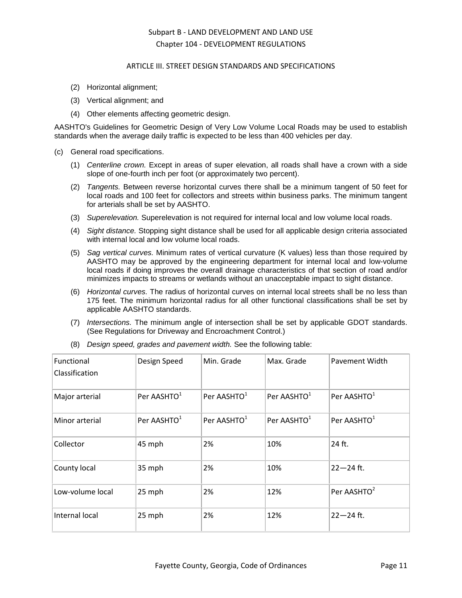### ARTICLE III. STREET DESIGN STANDARDS AND SPECIFICATIONS

- (2) Horizontal alignment;
- (3) Vertical alignment; and
- (4) Other elements affecting geometric design.

AASHTO's Guidelines for Geometric Design of Very Low Volume Local Roads may be used to establish standards when the average daily traffic is expected to be less than 400 vehicles per day.

- (c) General road specifications.
	- (1) *Centerline crown.* Except in areas of super elevation, all roads shall have a crown with a side slope of one-fourth inch per foot (or approximately two percent).
	- (2) *Tangents.* Between reverse horizontal curves there shall be a minimum tangent of 50 feet for local roads and 100 feet for collectors and streets within business parks. The minimum tangent for arterials shall be set by AASHTO.
	- (3) *Superelevation.* Superelevation is not required for internal local and low volume local roads.
	- (4) *Sight distance.* Stopping sight distance shall be used for all applicable design criteria associated with internal local and low volume local roads.
	- (5) *Sag vertical curves.* Minimum rates of vertical curvature (K values) less than those required by AASHTO may be approved by the engineering department for internal local and low-volume local roads if doing improves the overall drainage characteristics of that section of road and/or minimizes impacts to streams or wetlands without an unacceptable impact to sight distance.
	- (6) *Horizontal curves.* The radius of horizontal curves on internal local streets shall be no less than 175 feet. The minimum horizontal radius for all other functional classifications shall be set by applicable AASHTO standards.
	- (7) *Intersections.* The minimum angle of intersection shall be set by applicable GDOT standards. (See Regulations for Driveway and Encroachment Control.)

| Functional<br>Classification | Design Speed            | Min. Grade              | Max. Grade              | Pavement Width          |
|------------------------------|-------------------------|-------------------------|-------------------------|-------------------------|
| Major arterial               | Per AASHTO <sup>1</sup> | Per AASHTO <sup>1</sup> | Per AASHTO <sup>1</sup> | Per AASHTO <sup>1</sup> |
| Minor arterial               | Per AASHTO <sup>1</sup> | Per AASHTO <sup>1</sup> | Per AASHTO <sup>1</sup> | Per AASHTO <sup>1</sup> |
| Collector                    | 45 mph                  | 2%                      | 10%                     | 24 ft.                  |
| County local                 | 35 mph                  | 2%                      | 10%                     | $22 - 24$ ft.           |
| Low-volume local             | 25 mph                  | 2%                      | 12%                     | Per AASHTO <sup>2</sup> |
| Internal local               | 25 mph                  | 2%                      | 12%                     | $22 - 24$ ft.           |

(8) *Design speed, grades and pavement width.* See the following table: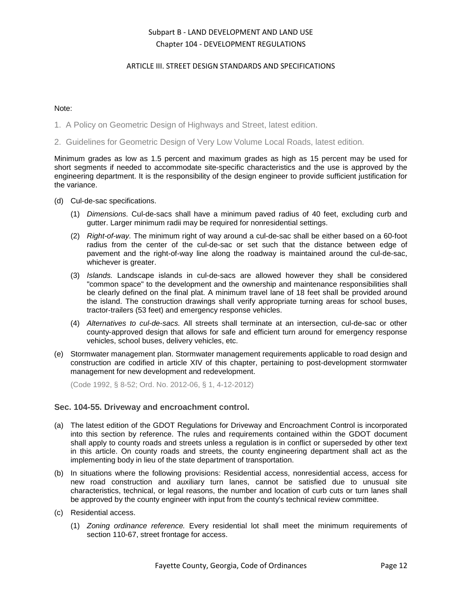## ARTICLE III. STREET DESIGN STANDARDS AND SPECIFICATIONS

### Note:

- 1. A Policy on Geometric Design of Highways and Street, latest edition.
- 2. Guidelines for Geometric Design of Very Low Volume Local Roads, latest edition.

Minimum grades as low as 1.5 percent and maximum grades as high as 15 percent may be used for short segments if needed to accommodate site-specific characteristics and the use is approved by the engineering department. It is the responsibility of the design engineer to provide sufficient justification for the variance.

- (d) Cul-de-sac specifications.
	- (1) *Dimensions.* Cul-de-sacs shall have a minimum paved radius of 40 feet, excluding curb and gutter. Larger minimum radii may be required for nonresidential settings.
	- (2) *Right-of-way.* The minimum right of way around a cul-de-sac shall be either based on a 60-foot radius from the center of the cul-de-sac or set such that the distance between edge of pavement and the right-of-way line along the roadway is maintained around the cul-de-sac, whichever is greater.
	- (3) *Islands.* Landscape islands in cul-de-sacs are allowed however they shall be considered "common space" to the development and the ownership and maintenance responsibilities shall be clearly defined on the final plat. A minimum travel lane of 18 feet shall be provided around the island. The construction drawings shall verify appropriate turning areas for school buses, tractor-trailers (53 feet) and emergency response vehicles.
	- (4) *Alternatives to cul-de-sacs.* All streets shall terminate at an intersection, cul-de-sac or other county-approved design that allows for safe and efficient turn around for emergency response vehicles, school buses, delivery vehicles, etc.
- (e) Stormwater management plan. Stormwater management requirements applicable to road design and construction are codified in article XIV of this chapter, pertaining to post-development stormwater management for new development and redevelopment.

(Code 1992, § 8-52; Ord. No. 2012-06, § 1, 4-12-2012)

### <span id="page-11-0"></span>**Sec. 104-55. Driveway and encroachment control.**

- (a) The latest edition of the GDOT Regulations for Driveway and Encroachment Control is incorporated into this section by reference. The rules and requirements contained within the GDOT document shall apply to county roads and streets unless a regulation is in conflict or superseded by other text in this article. On county roads and streets, the county engineering department shall act as the implementing body in lieu of the state department of transportation.
- (b) In situations where the following provisions: Residential access, nonresidential access, access for new road construction and auxiliary turn lanes, cannot be satisfied due to unusual site characteristics, technical, or legal reasons, the number and location of curb cuts or turn lanes shall be approved by the county engineer with input from the county's technical review committee.
- (c) Residential access.
	- (1) *Zoning ordinance reference.* Every residential lot shall meet the minimum requirements of section 110-67, street frontage for access.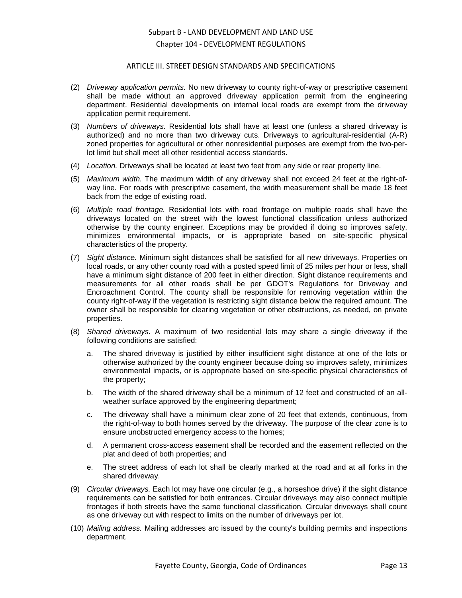#### ARTICLE III. STREET DESIGN STANDARDS AND SPECIFICATIONS

- (2) *Driveway application permits.* No new driveway to county right-of-way or prescriptive casement shall be made without an approved driveway application permit from the engineering department. Residential developments on internal local roads are exempt from the driveway application permit requirement.
- (3) *Numbers of driveways.* Residential lots shall have at least one (unless a shared driveway is authorized) and no more than two driveway cuts. Driveways to agricultural-residential (A-R) zoned properties for agricultural or other nonresidential purposes are exempt from the two-perlot limit but shall meet all other residential access standards.
- (4) *Location.* Driveways shall be located at least two feet from any side or rear property line.
- (5) *Maximum width.* The maximum width of any driveway shall not exceed 24 feet at the right-ofway line. For roads with prescriptive casement, the width measurement shall be made 18 feet back from the edge of existing road.
- (6) *Multiple road frontage.* Residential lots with road frontage on multiple roads shall have the driveways located on the street with the lowest functional classification unless authorized otherwise by the county engineer. Exceptions may be provided if doing so improves safety, minimizes environmental impacts, or is appropriate based on site-specific physical characteristics of the property.
- (7) *Sight distance.* Minimum sight distances shall be satisfied for all new driveways. Properties on local roads, or any other county road with a posted speed limit of 25 miles per hour or less, shall have a minimum sight distance of 200 feet in either direction. Sight distance requirements and measurements for all other roads shall be per GDOT's Regulations for Driveway and Encroachment Control. The county shall be responsible for removing vegetation within the county right-of-way if the vegetation is restricting sight distance below the required amount. The owner shall be responsible for clearing vegetation or other obstructions, as needed, on private properties.
- (8) *Shared driveways.* A maximum of two residential lots may share a single driveway if the following conditions are satisfied:
	- a. The shared driveway is justified by either insufficient sight distance at one of the lots or otherwise authorized by the county engineer because doing so improves safety, minimizes environmental impacts, or is appropriate based on site-specific physical characteristics of the property;
	- b. The width of the shared driveway shall be a minimum of 12 feet and constructed of an allweather surface approved by the engineering department;
	- c. The driveway shall have a minimum clear zone of 20 feet that extends, continuous, from the right-of-way to both homes served by the driveway. The purpose of the clear zone is to ensure unobstructed emergency access to the homes;
	- d. A permanent cross-access easement shall be recorded and the easement reflected on the plat and deed of both properties; and
	- e. The street address of each lot shall be clearly marked at the road and at all forks in the shared driveway.
- (9) *Circular driveways.* Each lot may have one circular (e.g., a horseshoe drive) if the sight distance requirements can be satisfied for both entrances. Circular driveways may also connect multiple frontages if both streets have the same functional classification. Circular driveways shall count as one driveway cut with respect to limits on the number of driveways per lot.
- (10) *Mailing address.* Mailing addresses arc issued by the county's building permits and inspections department.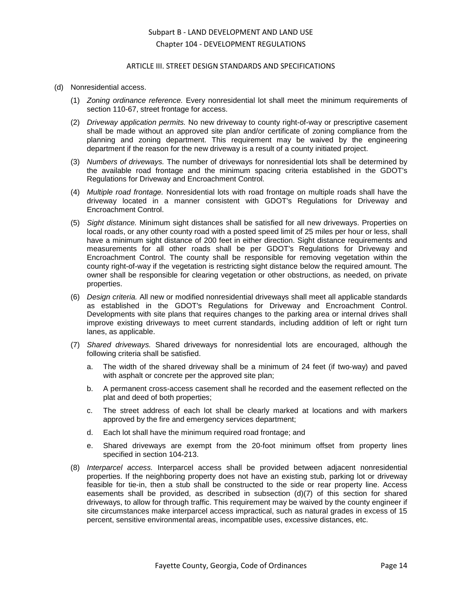#### ARTICLE III. STREET DESIGN STANDARDS AND SPECIFICATIONS

#### (d) Nonresidential access.

- (1) *Zoning ordinance reference.* Every nonresidential lot shall meet the minimum requirements of section 110-67, street frontage for access.
- (2) *Driveway application permits.* No new driveway to county right-of-way or prescriptive casement shall be made without an approved site plan and/or certificate of zoning compliance from the planning and zoning department. This requirement may be waived by the engineering department if the reason for the new driveway is a result of a county initiated project.
- (3) *Numbers of driveways.* The number of driveways for nonresidential lots shall be determined by the available road frontage and the minimum spacing criteria established in the GDOT's Regulations for Driveway and Encroachment Control.
- (4) *Multiple road frontage.* Nonresidential lots with road frontage on multiple roads shall have the driveway located in a manner consistent with GDOT's Regulations for Driveway and Encroachment Control.
- (5) *Sight distance.* Minimum sight distances shall be satisfied for all new driveways. Properties on local roads, or any other county road with a posted speed limit of 25 miles per hour or less, shall have a minimum sight distance of 200 feet in either direction. Sight distance requirements and measurements for all other roads shall be per GDOT's Regulations for Driveway and Encroachment Control. The county shall be responsible for removing vegetation within the county right-of-way if the vegetation is restricting sight distance below the required amount. The owner shall be responsible for clearing vegetation or other obstructions, as needed, on private properties.
- (6) *Design criteria.* All new or modified nonresidential driveways shall meet all applicable standards as established in the GDOT's Regulations for Driveway and Encroachment Control. Developments with site plans that requires changes to the parking area or internal drives shall improve existing driveways to meet current standards, including addition of left or right turn lanes, as applicable.
- (7) *Shared driveways.* Shared driveways for nonresidential lots are encouraged, although the following criteria shall be satisfied.
	- a. The width of the shared driveway shall be a minimum of 24 feet (if two-way) and paved with asphalt or concrete per the approved site plan;
	- b. A permanent cross-access casement shall he recorded and the easement reflected on the plat and deed of both properties;
	- c. The street address of each lot shall be clearly marked at locations and with markers approved by the fire and emergency services department;
	- d. Each lot shall have the minimum required road frontage; and
	- e. Shared driveways are exempt from the 20-foot minimum offset from property lines specified in section 104-213.
- (8) *Interparcel access.* Interparcel access shall be provided between adjacent nonresidential properties. If the neighboring property does not have an existing stub, parking lot or driveway feasible for tie-in, then a stub shall be constructed to the side or rear property line. Access easements shall be provided, as described in subsection  $(d)(7)$  of this section for shared driveways, to allow for through traffic. This requirement may be waived by the county engineer if site circumstances make interparcel access impractical, such as natural grades in excess of 15 percent, sensitive environmental areas, incompatible uses, excessive distances, etc.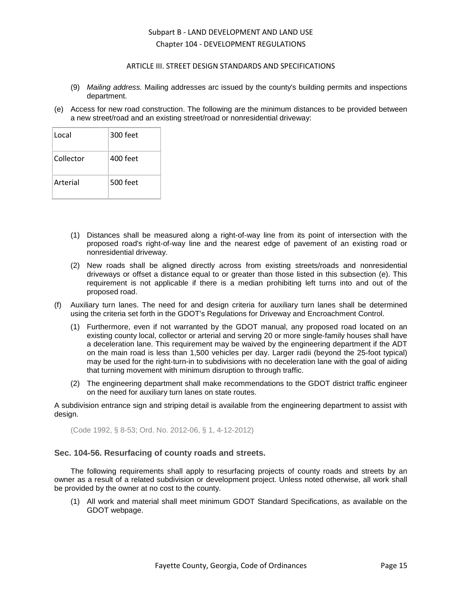### ARTICLE III. STREET DESIGN STANDARDS AND SPECIFICATIONS

- (9) *Mailing address.* Mailing addresses arc issued by the county's building permits and inspections department.
- (e) Access for new road construction. The following are the minimum distances to be provided between a new street/road and an existing street/road or nonresidential driveway:

| Local     | 300 feet   |
|-----------|------------|
| Collector | $400$ feet |
| Arterial  | 500 feet   |

- (1) Distances shall be measured along a right-of-way line from its point of intersection with the proposed road's right-of-way line and the nearest edge of pavement of an existing road or nonresidential driveway.
- (2) New roads shall be aligned directly across from existing streets/roads and nonresidential driveways or offset a distance equal to or greater than those listed in this subsection (e). This requirement is not applicable if there is a median prohibiting left turns into and out of the proposed road.
- (f) Auxiliary turn lanes. The need for and design criteria for auxiliary turn lanes shall be determined using the criteria set forth in the GDOT's Regulations for Driveway and Encroachment Control.
	- (1) Furthermore, even if not warranted by the GDOT manual, any proposed road located on an existing county local, collector or arterial and serving 20 or more single-family houses shall have a deceleration lane. This requirement may be waived by the engineering department if the ADT on the main road is less than 1,500 vehicles per day. Larger radii (beyond the 25-foot typical) may be used for the right-turn-in to subdivisions with no deceleration lane with the goal of aiding that turning movement with minimum disruption to through traffic.
	- (2) The engineering department shall make recommendations to the GDOT district traffic engineer on the need for auxiliary turn lanes on state routes.

A subdivision entrance sign and striping detail is available from the engineering department to assist with design.

(Code 1992, § 8-53; Ord. No. 2012-06, § 1, 4-12-2012)

## <span id="page-14-0"></span>**Sec. 104-56. Resurfacing of county roads and streets.**

The following requirements shall apply to resurfacing projects of county roads and streets by an owner as a result of a related subdivision or development project. Unless noted otherwise, all work shall be provided by the owner at no cost to the county.

(1) All work and material shall meet minimum GDOT Standard Specifications, as available on the GDOT webpage.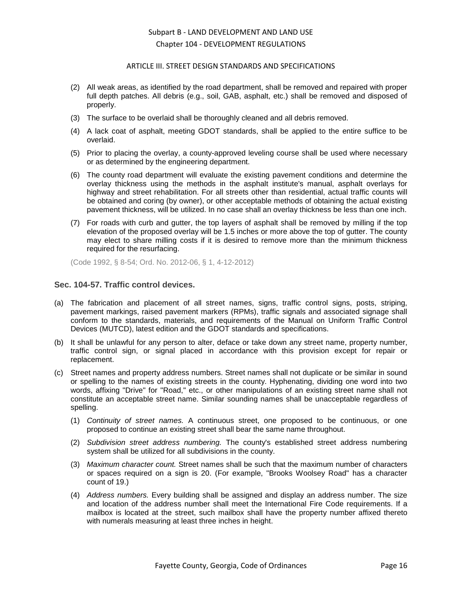### ARTICLE III. STREET DESIGN STANDARDS AND SPECIFICATIONS

- (2) All weak areas, as identified by the road department, shall be removed and repaired with proper full depth patches. All debris (e.g., soil, GAB, asphalt, etc.) shall be removed and disposed of properly.
- (3) The surface to be overlaid shall be thoroughly cleaned and all debris removed.
- (4) A lack coat of asphalt, meeting GDOT standards, shall be applied to the entire suffice to be overlaid.
- (5) Prior to placing the overlay, a county-approved leveling course shall be used where necessary or as determined by the engineering department.
- (6) The county road department will evaluate the existing pavement conditions and determine the overlay thickness using the methods in the asphalt institute's manual, asphalt overlays for highway and street rehabilitation. For all streets other than residential, actual traffic counts will be obtained and coring (by owner), or other acceptable methods of obtaining the actual existing pavement thickness, will be utilized. In no case shall an overlay thickness be less than one inch.
- (7) For roads with curb and gutter, the top layers of asphalt shall be removed by milling if the top elevation of the proposed overlay will be 1.5 inches or more above the top of gutter. The county may elect to share milling costs if it is desired to remove more than the minimum thickness required for the resurfacing.

(Code 1992, § 8-54; Ord. No. 2012-06, § 1, 4-12-2012)

### <span id="page-15-0"></span>**Sec. 104-57. Traffic control devices.**

- (a) The fabrication and placement of all street names, signs, traffic control signs, posts, striping, pavement markings, raised pavement markers (RPMs), traffic signals and associated signage shall conform to the standards, materials, and requirements of the Manual on Uniform Traffic Control Devices (MUTCD), latest edition and the GDOT standards and specifications.
- (b) It shall be unlawful for any person to alter, deface or take down any street name, property number, traffic control sign, or signal placed in accordance with this provision except for repair or replacement.
- (c) Street names and property address numbers. Street names shall not duplicate or be similar in sound or spelling to the names of existing streets in the county. Hyphenating, dividing one word into two words, affixing "Drive" for "Road," etc., or other manipulations of an existing street name shall not constitute an acceptable street name. Similar sounding names shall be unacceptable regardless of spelling.
	- (1) *Continuity of street names.* A continuous street, one proposed to be continuous, or one proposed to continue an existing street shall bear the same name throughout.
	- (2) *Subdivision street address numbering.* The county's established street address numbering system shall be utilized for all subdivisions in the county.
	- (3) *Maximum character count.* Street names shall be such that the maximum number of characters or spaces required on a sign is 20. (For example, "Brooks Woolsey Road" has a character count of 19.)
	- (4) *Address numbers.* Every building shall be assigned and display an address number. The size and location of the address number shall meet the International Fire Code requirements. If a mailbox is located at the street, such mailbox shall have the property number affixed thereto with numerals measuring at least three inches in height.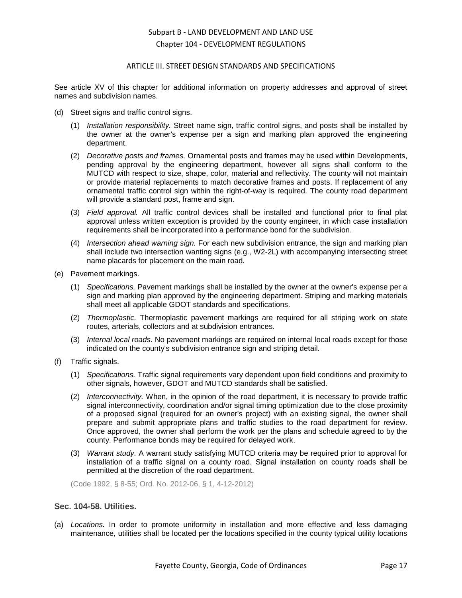### ARTICLE III. STREET DESIGN STANDARDS AND SPECIFICATIONS

See article XV of this chapter for additional information on property addresses and approval of street names and subdivision names.

- (d) Street signs and traffic control signs.
	- (1) *Installation responsibility.* Street name sign, traffic control signs, and posts shall be installed by the owner at the owner's expense per a sign and marking plan approved the engineering department.
	- (2) *Decorative posts and frames.* Ornamental posts and frames may be used within Developments, pending approval by the engineering department, however all signs shall conform to the MUTCD with respect to size, shape, color, material and reflectivity. The county will not maintain or provide material replacements to match decorative frames and posts. If replacement of any ornamental traffic control sign within the right-of-way is required. The county road department will provide a standard post, frame and sign.
	- (3) *Field approval.* All traffic control devices shall be installed and functional prior to final plat approval unless written exception is provided by the county engineer, in which case installation requirements shall be incorporated into a performance bond for the subdivision.
	- (4) *Intersection ahead warning sign.* For each new subdivision entrance, the sign and marking plan shall include two intersection wanting signs (e.g., W2-2L) with accompanying intersecting street name placards for placement on the main road.
- (e) Pavement markings.
	- (1) *Specifications.* Pavement markings shall be installed by the owner at the owner's expense per a sign and marking plan approved by the engineering department. Striping and marking materials shall meet all applicable GDOT standards and specifications.
	- (2) *Thermoplastic.* Thermoplastic pavement markings are required for all striping work on state routes, arterials, collectors and at subdivision entrances.
	- (3) *Internal local roads.* No pavement markings are required on internal local roads except for those indicated on the county's subdivision entrance sign and striping detail.
- (f) Traffic signals.
	- (1) *Specifications.* Traffic signal requirements vary dependent upon field conditions and proximity to other signals, however, GDOT and MUTCD standards shall be satisfied.
	- (2) *Interconnectivity.* When, in the opinion of the road department, it is necessary to provide traffic signal interconnectivity, coordination and/or signal timing optimization due to the close proximity of a proposed signal (required for an owner's project) with an existing signal, the owner shall prepare and submit appropriate plans and traffic studies to the road department for review. Once approved, the owner shall perform the work per the plans and schedule agreed to by the county. Performance bonds may be required for delayed work.
	- (3) *Warrant study.* A warrant study satisfying MUTCD criteria may be required prior to approval for installation of a traffic signal on a county road. Signal installation on county roads shall be permitted at the discretion of the road department.

(Code 1992, § 8-55; Ord. No. 2012-06, § 1, 4-12-2012)

## <span id="page-16-0"></span>**Sec. 104-58. Utilities.**

(a) *Locations.* In order to promote uniformity in installation and more effective and less damaging maintenance, utilities shall be located per the locations specified in the county typical utility locations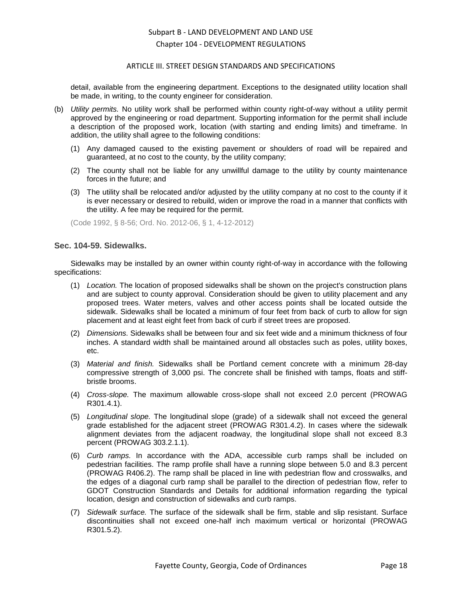#### ARTICLE III. STREET DESIGN STANDARDS AND SPECIFICATIONS

detail, available from the engineering department. Exceptions to the designated utility location shall be made, in writing, to the county engineer for consideration.

- (b) *Utility permits.* No utility work shall be performed within county right-of-way without a utility permit approved by the engineering or road department. Supporting information for the permit shall include a description of the proposed work, location (with starting and ending limits) and timeframe. In addition, the utility shall agree to the following conditions:
	- (1) Any damaged caused to the existing pavement or shoulders of road will be repaired and guaranteed, at no cost to the county, by the utility company;
	- (2) The county shall not be liable for any unwillful damage to the utility by county maintenance forces in the future; and
	- (3) The utility shall be relocated and/or adjusted by the utility company at no cost to the county if it is ever necessary or desired to rebuild, widen or improve the road in a manner that conflicts with the utility. A fee may be required for the permit.

(Code 1992, § 8-56; Ord. No. 2012-06, § 1, 4-12-2012)

### <span id="page-17-0"></span>**Sec. 104-59. Sidewalks.**

Sidewalks may be installed by an owner within county right-of-way in accordance with the following specifications:

- (1) *Location.* The location of proposed sidewalks shall be shown on the project's construction plans and are subject to county approval. Consideration should be given to utility placement and any proposed trees. Water meters, valves and other access points shall be located outside the sidewalk. Sidewalks shall be located a minimum of four feet from back of curb to allow for sign placement and at least eight feet from back of curb if street trees are proposed.
- (2) *Dimensions.* Sidewalks shall be between four and six feet wide and a minimum thickness of four inches. A standard width shall be maintained around all obstacles such as poles, utility boxes, etc.
- (3) *Material and finish.* Sidewalks shall be Portland cement concrete with a minimum 28-day compressive strength of 3,000 psi. The concrete shall be finished with tamps, floats and stiffbristle brooms.
- (4) *Cross-slope.* The maximum allowable cross-slope shall not exceed 2.0 percent (PROWAG R301.4.1).
- (5) *Longitudinal slope.* The longitudinal slope (grade) of a sidewalk shall not exceed the general grade established for the adjacent street (PROWAG R301.4.2). In cases where the sidewalk alignment deviates from the adjacent roadway, the longitudinal slope shall not exceed 8.3 percent (PROWAG 303.2.1.1).
- (6) *Curb ramps.* In accordance with the ADA, accessible curb ramps shall be included on pedestrian facilities. The ramp profile shall have a running slope between 5.0 and 8.3 percent (PROWAG R406.2). The ramp shall be placed in line with pedestrian flow and crosswalks, and the edges of a diagonal curb ramp shall be parallel to the direction of pedestrian flow, refer to GDOT Construction Standards and Details for additional information regarding the typical location, design and construction of sidewalks and curb ramps.
- (7) *Sidewalk surface.* The surface of the sidewalk shall be firm, stable and slip resistant. Surface discontinuities shall not exceed one-half inch maximum vertical or horizontal (PROWAG R301.5.2).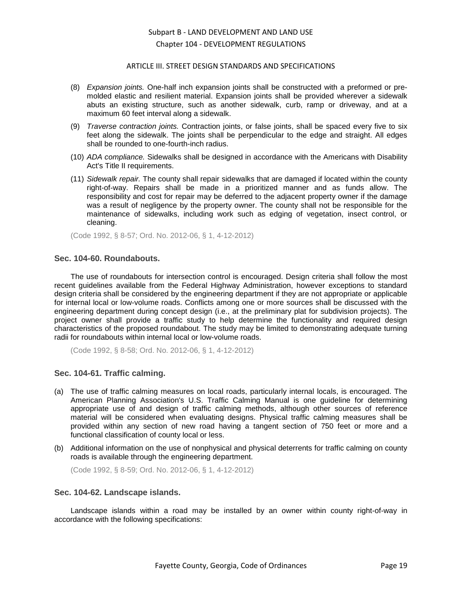#### ARTICLE III. STREET DESIGN STANDARDS AND SPECIFICATIONS

- (8) *Expansion joints.* One-half inch expansion joints shall be constructed with a preformed or premolded elastic and resilient material. Expansion joints shall be provided wherever a sidewalk abuts an existing structure, such as another sidewalk, curb, ramp or driveway, and at a maximum 60 feet interval along a sidewalk.
- (9) *Traverse contraction joints.* Contraction joints, or false joints, shall be spaced every five to six feet along the sidewalk. The joints shall be perpendicular to the edge and straight. All edges shall be rounded to one-fourth-inch radius.
- (10) *ADA compliance.* Sidewalks shall be designed in accordance with the Americans with Disability Act's Title II requirements.
- (11) *Sidewalk repair.* The county shall repair sidewalks that are damaged if located within the county right-of-way. Repairs shall be made in a prioritized manner and as funds allow. The responsibility and cost for repair may be deferred to the adjacent property owner if the damage was a result of negligence by the property owner. The county shall not be responsible for the maintenance of sidewalks, including work such as edging of vegetation, insect control, or cleaning.

(Code 1992, § 8-57; Ord. No. 2012-06, § 1, 4-12-2012)

#### <span id="page-18-0"></span>**Sec. 104-60. Roundabouts.**

The use of roundabouts for intersection control is encouraged. Design criteria shall follow the most recent guidelines available from the Federal Highway Administration, however exceptions to standard design criteria shall be considered by the engineering department if they are not appropriate or applicable for internal local or low-volume roads. Conflicts among one or more sources shall be discussed with the engineering department during concept design (i.e., at the preliminary plat for subdivision projects). The project owner shall provide a traffic study to help determine the functionality and required design characteristics of the proposed roundabout. The study may be limited to demonstrating adequate turning radii for roundabouts within internal local or low-volume roads.

(Code 1992, § 8-58; Ord. No. 2012-06, § 1, 4-12-2012)

## <span id="page-18-1"></span>**Sec. 104-61. Traffic calming.**

- (a) The use of traffic calming measures on local roads, particularly internal locals, is encouraged. The American Planning Association's U.S. Traffic Calming Manual is one guideline for determining appropriate use of and design of traffic calming methods, although other sources of reference material will be considered when evaluating designs. Physical traffic calming measures shall be provided within any section of new road having a tangent section of 750 feet or more and a functional classification of county local or less.
- (b) Additional information on the use of nonphysical and physical deterrents for traffic calming on county roads is available through the engineering department.

(Code 1992, § 8-59; Ord. No. 2012-06, § 1, 4-12-2012)

#### <span id="page-18-2"></span>**Sec. 104-62. Landscape islands.**

Landscape islands within a road may be installed by an owner within county right-of-way in accordance with the following specifications: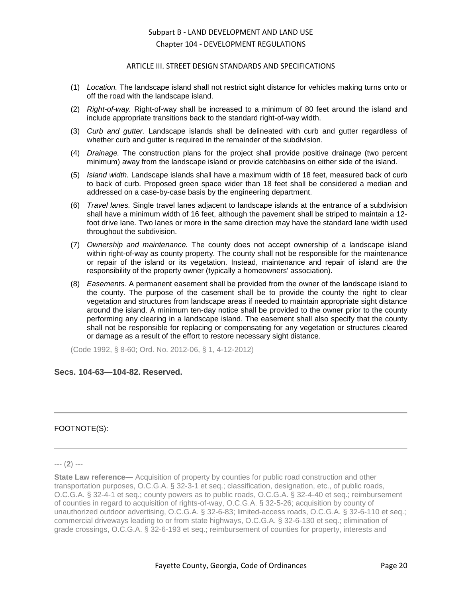### ARTICLE III. STREET DESIGN STANDARDS AND SPECIFICATIONS

- (1) *Location.* The landscape island shall not restrict sight distance for vehicles making turns onto or off the road with the landscape island.
- (2) *Right-of-way.* Right-of-way shall be increased to a minimum of 80 feet around the island and include appropriate transitions back to the standard right-of-way width.
- (3) *Curb and gutter.* Landscape islands shall be delineated with curb and gutter regardless of whether curb and gutter is required in the remainder of the subdivision.
- (4) *Drainage.* The construction plans for the project shall provide positive drainage (two percent minimum) away from the landscape island or provide catchbasins on either side of the island.
- (5) *Island width.* Landscape islands shall have a maximum width of 18 feet, measured back of curb to back of curb. Proposed green space wider than 18 feet shall be considered a median and addressed on a case-by-case basis by the engineering department.
- (6) *Travel lanes.* Single travel lanes adjacent to landscape islands at the entrance of a subdivision shall have a minimum width of 16 feet, although the pavement shall be striped to maintain a 12 foot drive lane. Two lanes or more in the same direction may have the standard lane width used throughout the subdivision.
- (7) *Ownership and maintenance.* The county does not accept ownership of a landscape island within right-of-way as county property. The county shall not be responsible for the maintenance or repair of the island or its vegetation. Instead, maintenance and repair of island are the responsibility of the property owner (typically a homeowners' association).
- (8) *Easements.* A permanent easement shall be provided from the owner of the landscape island to the county. The purpose of the casement shall be to provide the county the right to clear vegetation and structures from landscape areas if needed to maintain appropriate sight distance around the island. A minimum ten-day notice shall be provided to the owner prior to the county performing any clearing in a landscape island. The easement shall also specify that the county shall not be responsible for replacing or compensating for any vegetation or structures cleared or damage as a result of the effort to restore necessary sight distance.

(Code 1992, § 8-60; Ord. No. 2012-06, § 1, 4-12-2012)

## <span id="page-19-0"></span>**Secs. 104-63—104-82. Reserved.**

### FOOTNOTE(S):

#### --- (**2**) ---

**State Law reference—** Acquisition of property by counties for public road construction and other transportation purposes, O.C.G.A. § 32-3-1 et seq.; classification, designation, etc., of public roads, O.C.G.A. § 32-4-1 et seq.; county powers as to public roads, O.C.G.A. § 32-4-40 et seq.; reimbursement of counties in regard to acquisition of rights-of-way, O.C.G.A. § 32-5-26; acquisition by county of unauthorized outdoor advertising, O.C.G.A. § 32-6-83; limited-access roads, O.C.G.A. § 32-6-110 et seq.; commercial driveways leading to or from state highways, O.C.G.A. § 32-6-130 et seq.; elimination of grade crossings, O.C.G.A. § 32-6-193 et seq.; reimbursement of counties for property, interests and